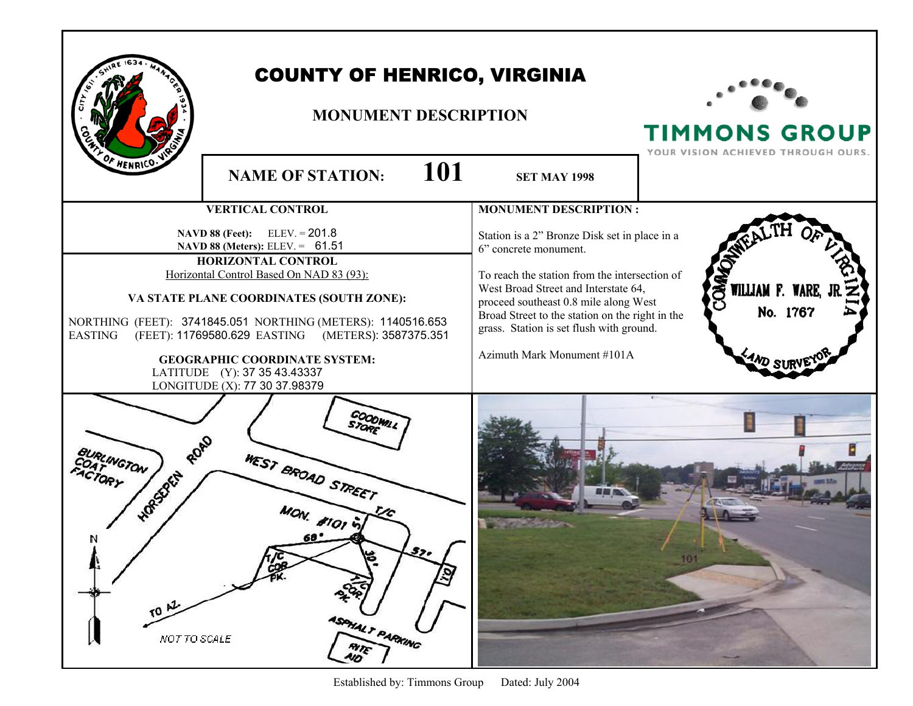|                                                           | <b>COUNTY OF HENRICO, VIRGINIA</b><br><b>MONUMENT DESCRIPTION</b>                                                                                                                                                                                                                                                                                                                                                          |                                                                                                                                                                                                                                                                                                                                        | <b>TIMMONS GROUP</b><br>YOUR VISION ACHIEVED THROUGH OURS. |
|-----------------------------------------------------------|----------------------------------------------------------------------------------------------------------------------------------------------------------------------------------------------------------------------------------------------------------------------------------------------------------------------------------------------------------------------------------------------------------------------------|----------------------------------------------------------------------------------------------------------------------------------------------------------------------------------------------------------------------------------------------------------------------------------------------------------------------------------------|------------------------------------------------------------|
| OF HENRICO.                                               | 101<br><b>NAME OF STATION:</b>                                                                                                                                                                                                                                                                                                                                                                                             | <b>SET MAY 1998</b>                                                                                                                                                                                                                                                                                                                    |                                                            |
|                                                           | <b>VERTICAL CONTROL</b>                                                                                                                                                                                                                                                                                                                                                                                                    | <b>MONUMENT DESCRIPTION:</b>                                                                                                                                                                                                                                                                                                           |                                                            |
| <b>EASTING</b>                                            | <b>NAVD 88 (Feet):</b> ELEV. = 201.8<br>NAVD 88 (Meters): ELEV. = 61.51<br><b>HORIZONTAL CONTROL</b><br>Horizontal Control Based On NAD 83 (93):<br>VA STATE PLANE COORDINATES (SOUTH ZONE):<br>NORTHING (FEET): 3741845.051 NORTHING (METERS): 1140516.653<br>(FEET): 11769580.629 EASTING (METERS): 3587375.351<br><b>GEOGRAPHIC COORDINATE SYSTEM:</b><br>LATITUDE (Y): 37 35 43.43337<br>LONGITUDE (X): 77 30 37.98379 | Station is a 2" Bronze Disk set in place in a<br>6" concrete monument.<br>To reach the station from the intersection of<br>West Broad Street and Interstate 64,<br>proceed southeast 0.8 mile along West<br>Broad Street to the station on the right in the<br>grass. Station is set flush with ground.<br>Azimuth Mark Monument #101A | <b>COMMO</b><br>WILLIAM F. WARE, .<br>No. 1767             |
| ROAD<br>UNGTON<br>HORSZELLA<br>N<br>TO AZ<br>NOT TO SCALE | COODWILL<br>WEST BROAD STREET<br><b>JON. #1014</b><br>۴.<br>ASPHALT PARKING<br><b>RITE</b>                                                                                                                                                                                                                                                                                                                                 |                                                                                                                                                                                                                                                                                                                                        | 101                                                        |